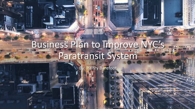# Business Plan to Improve NYC's Paratransit System

lenry Barefoot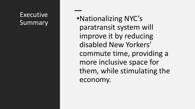#### Executive Summary

•Nationalizing NYC's paratransit system will improve it by reducing disabled New Yorkers' commute time, providing a more inclusive space for them, while stimulating the economy.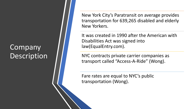### **Company** Description

New York City's Paratransit on average provides transportation for 639,265 disabled and elderly New Yorkers.

It was created in 1990 after the American with Disabilities Act was signed into law(EqualEntry.com).

NYC contracts private carrier companies as transport called "Access-A-Ride" (Wong).

Fare rates are equal to NYC's public transportation (Wong).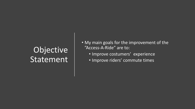## Objective Statement

- My main goals for the improvement of the "Access-A-Ride" are to:
	- Improve costumers' experience
	- Improve riders' commute times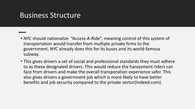#### Business Structure

- NYC should nationalize "Access-A-Ride", meaning control of this system of transportation would transfer from multiple private firms to the government. NYC already does this for its buses and its world-famous subway.
- This gives drivers a set of social and professional standards they must adhere to as these designated drivers. This would reduce the harassment riders can face from drivers and make the overall transporation experience safer. This also gives drivers a government job which is more likely to have better benefits and job security compared to the private sector(Indeed.com).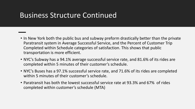#### Business Structure Continued

- In New York both the public bus and subway preform drastically better than the private Paratransit system in Average Successful Service, and the Percent of Customer Trip Completed within Schedule categories of satisfaction. This shows that public transportation is more efficient.
- NYC's Subway has a 94.1% average successful service rate, and 81.6% of its rides are completed within 5 minutes of their customer's schedule.
- NYC's Buses has a 97.1% successful service rate, and 71.6% of its rides are completed within 5 minutes of their customer's schedule.
- Paratransit has both the lowest successful service rate at 93.3% and 67% of rides completed within customer's schedule (MTA)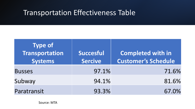### Transportation Effectiveness Table

| <b>Type of</b><br><b>Transportation</b><br><b>Systems</b> | <b>Succesful</b><br><b>Sercive</b> | Completed with in<br><b>Customer's Schedule</b> |  |
|-----------------------------------------------------------|------------------------------------|-------------------------------------------------|--|
| <b>Busses</b>                                             | 97.1%                              | 71.6%                                           |  |
| Subway                                                    | 94.1%                              | 81.6%                                           |  |
| Paratransit                                               | 93.3%                              | 67.0%                                           |  |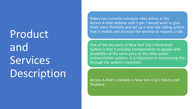Product and Services Description

Riders can currently schedule rides online at the Access-A-Ride website until 5 pm. I would work to give them more flexibility and set up a new ride calling system that is mobile and increase the window to request a ride.

One of the key parts of New York City's Paratransit System is that it provides transportation to people with disabilities at the same price as the other public transportation systems. It is important to maintaining this through the system's evolution.

Access-A-Ride's clientele is New York City's Elderly and Disabled.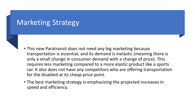#### Marketing Strategy

- 
- This new Paratransit does not need any big marketing because transportation is essential, and its demand is inelastic (meaning there is only a small change in consumer demand with a change of price). This requires less marketing compared to a more elastic product like a sports car. It also does not have any competitors who are offering transportation for the disabled at its cheap price point.
- The best marketing strategy is emphasizing the projected increases in speed and efficiency.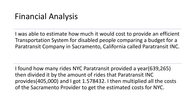## Financial Analysis

I was able to estimate how much it would cost to provide an efficient Transportation System for disabled people comparing a budget for a Paratransit Company in Sacramento, California called Paratransit INC.

I found how many rides NYC Paratransit provided a year(639,265) then divided it by the amount of rides that Paratransit INC provides(405,000) and I got 1.578432. I then multiplied all the costs of the Sacramento Provider to get the estimated costs for NYC.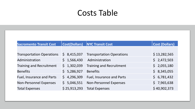## Costs Table

| <b>Sacromento Transit Cost</b>   | <b>Cost(Dollars)</b> | <b>NYC Transit Cost</b>          | <b>Cost (Dollars)</b> |
|----------------------------------|----------------------|----------------------------------|-----------------------|
|                                  |                      |                                  |                       |
| <b>Transportation Operations</b> | \$8,415,037          | <b>Transportation Operations</b> | \$13,282,565          |
| Administration                   | \$1,566,430          | Administration                   | \$2,472,503           |
| <b>Training and Recruitment</b>  | \$1,302,039          | <b>Training and Recruitment</b>  | \$2,055,180           |
| <b>Benefits</b>                  | \$5,286,927          | <b>Benefits</b>                  | \$3,345,055           |
| Fuel, Insurance and Parts        | \$4,296,309          | <b>Fuel, Insurance and Parts</b> | \$6,781,432           |
| <b>Non-Personnel Expenses</b>    | \$5,046,551          | <b>Non-Personnel Expenses</b>    | \$7,965,638           |
| <b>Total Expenses</b>            | \$25,913,293         | <b>Total Expenses</b>            | \$40,902,373          |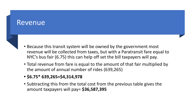#### Revenue

- 
- Because this transit system will be owned by the government most revenue will be collected from taxes, but with a Paratransit fare equal to NYC's bus fair (6.75) this can help off set the bill taxpayers will pay.
- Total revenue from fare is equal to the amount of that fair multiplied by the amount of annual number of rides (639,265)
- **• \$6.75\* 639,265=\$4,314,978**
- Subtracting this from the total cost from the previous table gives the amount taxpayers will pay= **\$36,587,395**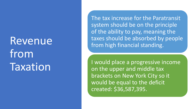# Revenue from **Taxation**

The tax increase for the Paratransit system should be on the principle of the ability to pay, meaning the taxes should be absorbed by people from high financial standing.

I would place a progressive income on the upper and middle tax brackets on New York City so it would be equal to the deficit created: \$36,587,395.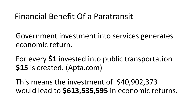## Financial Benefit Of a Paratransit

Government investment into services generates economic return.

For every **\$1** invested into public transportation **\$15** is created. (Apta.com)

This means the investment of \$40,902,373 would lead to **\$613,535,595** in economic returns.